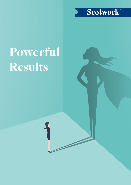

# Powerful Results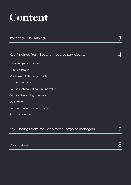# Content

| Investing? in Training?                        |  |
|------------------------------------------------|--|
|                                                |  |
| Key Findings from Scotwork course participants |  |
| Improved performance                           |  |
| Financial return                               |  |
| Most valuable training activity                |  |
| Pace of the course                             |  |
| Course materials of continuing value           |  |
| Content & teaching methods                     |  |
| Enjoyment                                      |  |
| Comparison with other courses                  |  |
| Personal benefits                              |  |

| Key Findings from the Scotwork surveys of managers |  |
|----------------------------------------------------|--|
|                                                    |  |
| Conclusions                                        |  |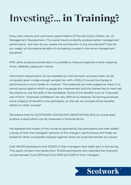# **Investing?...** in Training?

Every year industry and commerce spend billions of Pounds, Euros, Dollars, etc. on Management Development. The overall results evidently produce better management performance - but how do you assess the contribution of any one element? How do you weigh up the relative benefits of competing courses in the same management discipline?

With other products and services it is possible to measure objective criteria: response times, reliability, copies per minute.

Information-based topics can be assessed by a formal exam and pass rates can be compared, given a large enough sample; but with a SKILLS course the change in performance is much harder to measure. The measures are more subjective, there is no control group against which to gauge any improvement and the trainee has to have had the chance to use the skills in the workplace. Some of the benefits such as "improved use of time", "improved confidence" are very difficult to measure. All training produces some measure of benefit to the participant, so how do we compare those benefits relative to other courses?

We believe that the SCOTWORK ADVANCING NEGOTIATING SKILLS course does produce a result which can be measured in financial terms.

We assessed the impact of the course as reported by the participants and then added a study of their line managers' opinions of the change in performance and finally we looked for other comparable research against which we could benchmark our results.

Over 36,000 participants and 10,000 of their managers have taken part in this survey. This report contains the results from 10,000 participants who attended the Scotwork course between June 2013 and June 2018 and 2,100 of their managers.

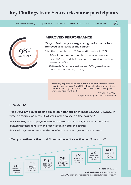# Key Findings from Scotwork course participants

Courses provide an average  $14.47 \times \text{ROI}$  - Face to face  $16.08 \times \text{ROI}$  - Virtual within 3 months

 $\mathbb{N}^{\mathbb{N}}$ 



# **IMPROVED PERFORMANCE**

"Do you feel that your negotiating performance has improved as a result of the course?"

After three months over 98% of participants said YES.

- 66% felt more in control of the negotiating process.
- Over 50% reported that they had improved in handling business conflict.
- 49% made fewer concessions and 30% gained more concessions when negotiating.

Massively impressed with the outputs. One of the metrics we are keen to measure aside from ROI is the relationship and how it had been impacted by our commercial discussions. Have to say we were very happy with both.

> SYLVAIN MASSON Program Manager Deal Desk, Facebook

# **FINANCIAL**

"Has your employer been able to gain benefit of at least £3,000 (\$4,000) in time or money as a result of your attendance on the course?"

46% said YES, their employer had made a saving of at least £3,000 and of these 20% claimed they had done it on the first negotiation after the course!

44% said they cannot measure the benefits to their employer in financial terms.

#### "Can you estimate the total financial benefit over the last 3 months?"

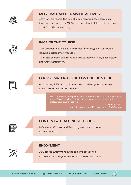

## **MOST VALUABLE TRAINING ACTIVITY**

Scotwork pioneered the use of video recorded case plays as a teaching method in the 1970s and participants felt that they learnt most from this one activity.

# **PACE OF THE COURSE**

The Scotwork course is run with great intensity; over 25 hours of learning packed into three days.

Over 83% scored Pace in the top two categories - Very Satisfactory and Quite Satisfactory.

# **COURSE MATERIALS OF CONTINUING VALUE**

An amazing 95% of participants are still referring to the course notes 3 months after the course!

> The course was very professional, the methodologies and materials were of high quality, and the trainers were very experienced, professional and engaging.

LIMOR SAMET Head of Learning and Development , SodaStream



# **CONTENT & TEACHING METHODS**

94% scored Content and Teaching Methods in the top two categories.



## **ENJOYMENT**

92% scored Enjoyment in the top two categories. Scotwork has always believed that learning can be fun.

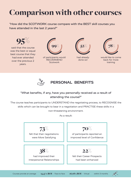# Comparison with other courses

"How did the SCOTWORK course compare with the BEST skill courses you have attended in the last 2 years?"



said that the course was the best or equal best course that they had ever attended over the previous 2 years.



of participants would RECOMMEND **Scotwork** 



had already done so!



would like to come back for more training



# **PERSONAL BENEFITS**

# "What benefits, if any, have you personally received as a result of attending the course?"

The course teaches participants to UNDERSTAND the negotiating process, to RECOGNISE the skills which can be brought to bear in a negotiation and PRACTISE these skills in a non-threatening environment.

As a result:



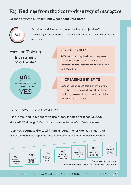# Key Findings from the Scotwork survey of managers

### So that is what you think - but what about your boss?



Did the participants achieve the list of objectives? The managers reported that, of the total number of their objectives, 82% were met in full

# Was the Training Investment Worthwile?



# USEFUL SKILLS

96% said that they had seen the person trying to use the skills and 83% could identify specific instances where they did use the skills.

# INCREASING BENEFITS

52% of respondents said benefit gained from training increased over time. This could be explained by the fact that skills improve with practice.

# HAS IT SAVED YOU MONEY?

### "Has it resulted in a benefit to the organisation of at least £3,000?"

39% said YES although 54% could not measure the benefit in financial terms.

### "Can you estimate the total financial benefit over the last 3 months?"

988 of the managers responded and estimated a total benefit for each individual.: